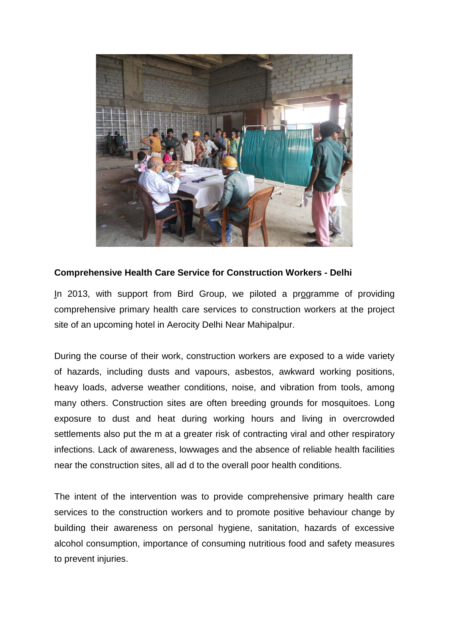

## **Comprehensive Health Care Service for Construction Workers - Delhi**

In 2013, with support from Bird Group, we piloted a programme of providing comprehensive primary health care services to construction workers at the project site of an upcoming hotel in Aerocity Delhi Near Mahipalpur.

During the course of their work, construction workers are exposed to a wide variety of hazards, including dusts and vapours, asbestos, awkward working positions, heavy loads, adverse weather conditions, noise, and vibration from tools, among many others. Construction sites are often breeding grounds for mosquitoes. Long exposure to dust and heat during working hours and living in overcrowded settlements also put the m at a greater risk of contracting viral and other respiratory infections. Lack of awareness, lowwages and the absence of reliable health facilities near the construction sites, all ad d to the overall poor health conditions.

The intent of the intervention was to provide comprehensive primary health care services to the construction workers and to promote positive behaviour change by building their awareness on personal hygiene, sanitation, hazards of excessive alcohol consumption, importance of consuming nutritious food and safety measures to prevent injuries.